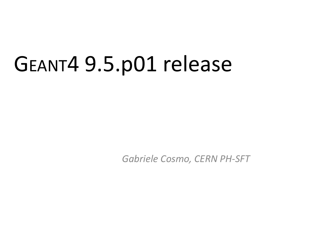# GEANT4 9.5.p01 release

*Gabriele Cosmo, CERN PH-SFT*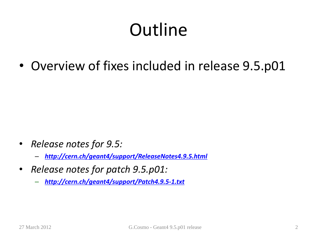# **Outline**

• Overview of fixes included in release 9.5.p01

- *Release notes for 9.5:*
	- *<http://cern.ch/geant4/support/ReleaseNotes4.9.5.html>*
- *Release notes for patch 9.5.p01:*
	- *<http://cern.ch/geant4/support/Patch4.9.5-1.txt>*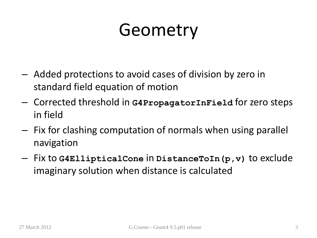# Geometry

- Added protections to avoid cases of division by zero in standard field equation of motion
- Corrected threshold in **G4PropagatorInField** for zero steps in field
- Fix for clashing computation of normals when using parallel navigation
- Fix to **G4EllipticalCone** in **DistanceToIn(p,v)** to exclude imaginary solution when distance is calculated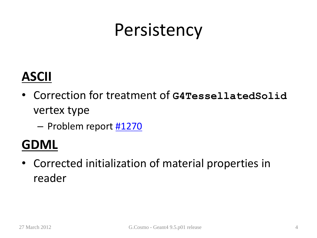## **Persistency**

### **ASCII**

- Correction for treatment of **G4TessellatedSolid** vertex type
	- Problem report [#1270](http://bugzilla-geant4.kek.jp/show_bug.cgi?id=1270)

### **GDML**

• Corrected initialization of material properties in reader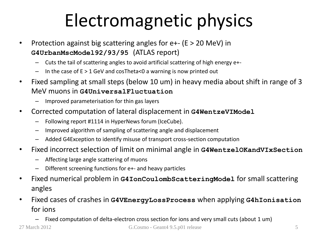# Electromagnetic physics

- Protection against big scattering angles for  $e^{+}$  (E > 20 MeV) in **G4UrbanMscModel92/93/95** (ATLAS report)
	- Cuts the tail of scattering angles to avoid artificial scattering of high energy e+-
	- $-$  In the case of  $E > 1$  GeV and cosTheta<0 a warning is now printed out
- Fixed sampling at small steps (below 10 um) in heavy media about shift in range of 3 MeV muons in **G4UniversalFluctuation**
	- Improved parameterisation for thin gas layers
- Corrected computation of lateral displacement in **G4WentzeVIModel**
	- Following report #1114 in HyperNews forum (IceCube).
	- Improved algorithm of sampling of scattering angle and displacement
	- Added G4Exception to identify misuse of transport cross-section computation
- Fixed incorrect selection of limit on minimal angle in **G4WentzelOKandVIxSection**
	- Affecting large angle scattering of muons
	- Different screening functions for e+- and heavy particles
- Fixed numerical problem in **G4IonCoulombScatteringModel** for small scattering angles
- Fixed cases of crashes in **G4VEnergyLossProcess** when applying **G4hIonisation** for ions
	- Fixed computation of delta-electron cross section for ions and very small cuts (about 1 um)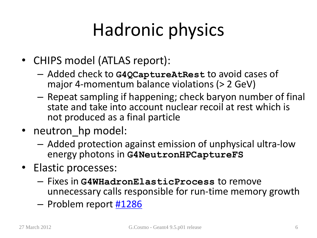# Hadronic physics

- CHIPS model (ATLAS report):
	- Added check to **G4QCaptureAtRest** to avoid cases of major 4-momentum balance violations (> 2 GeV)
	- Repeat sampling if happening; check baryon number of final state and take into account nuclear recoil at rest which is not produced as a final particle
- neutron hp model:
	- Added protection against emission of unphysical ultra-low energy photons in **G4NeutronHPCaptureFS**
- Elastic processes:
	- Fixes in **G4WHadronElasticProcess** to remove unnecessary calls responsible for run-time memory growth
	- Problem report [#1286](http://bugzilla-geant4.kek.jp/show_bug.cgi?id=1286)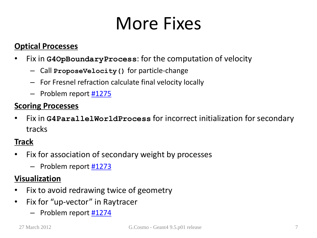## More Fixes

#### **Optical Processes**

- Fix in **G4OpBoundaryProcess**: for the computation of velocity
	- Call **ProposeVelocity()** for particle-change
	- For Fresnel refraction calculate final velocity locally
	- Problem report [#1275](http://bugzilla-geant4.kek.jp/show_bug.cgi?id=1275)

#### **Scoring Processes**

• Fix in **G4ParallelWorldProcess** for incorrect initialization for secondary tracks

#### **Track**

- Fix for association of secondary weight by processes
	- Problem report [#1273](http://bugzilla-geant4.kek.jp/show_bug.cgi?id=1273)

#### **Visualization**

- Fix to avoid redrawing twice of geometry
- Fix for "up-vector" in Raytracer
	- Problem report [#1274](http://bugzilla-geant4.kek.jp/show_bug.cgi?id=1274)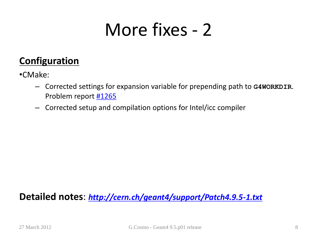### More fixes - 2

#### **Configuration**

•CMake:

- Corrected settings for expansion variable for prepending path to **G4WORKDIR**. Problem report [#1265](http://bugzilla-geant4.kek.jp/show_bug.cgi?id=1265)
- Corrected setup and compilation options for Intel/icc compiler

#### **Detailed notes**: *<http://cern.ch/geant4/support/Patch4.9.5-1.txt>*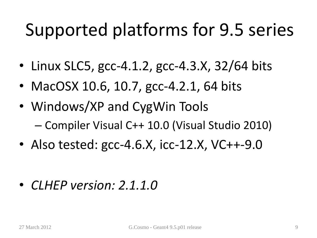# Supported platforms for 9.5 series

- Linux SLC5, gcc-4.1.2, gcc-4.3.X, 32/64 bits
- MacOSX 10.6, 10.7, gcc-4.2.1, 64 bits
- Windows/XP and CygWin Tools – Compiler Visual C++ 10.0 (Visual Studio 2010)
- Also tested: gcc-4.6.X, icc-12.X, VC++-9.0

• *CLHEP version: 2.1.1.0*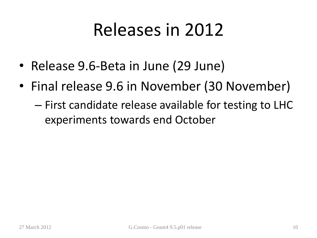# Releases in 2012

- Release 9.6-Beta in June (29 June)
- Final release 9.6 in November (30 November)
	- First candidate release available for testing to LHC experiments towards end October